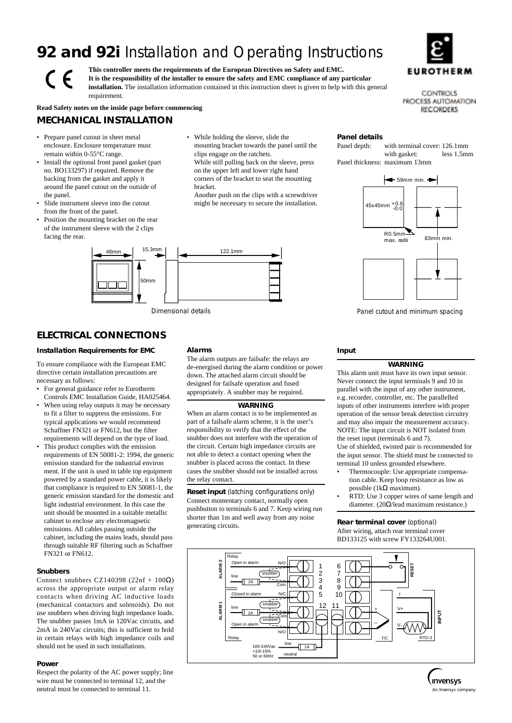# **92 and 92i** Installation and Operating Instructions

**This controller meets the requirements of the European Directives on Safety and EMC. It is the responsibility of the installer to ensure the safety and EMC compliance of any particular installation.** The installation information contained in this instruction sheet is given to help with this general



CONTROLS PROCESS AUTOMATION **RECORDERS** 

**Read Safety notes on the inside page before commencing**

# **MECHANICAL INSTALLATION**

requirement.

• Prepare panel cutout in sheet metal enclosure. Enclosure temperature must remain within 0-55°C range.

 $\epsilon$ 

- Install the optional front panel gasket (part no. BO133297) if required. Remove the backing from the gasket and apply it around the panel cutout on the outside of the panel.
- Slide instrument sleeve into the cutout from the front of the panel.
- Position the mounting bracket on the rear of the instrument sleeve with the 2 clips facing the rear.
- While holding the sleeve, slide the mounting bracket towards the panel until the clips engage on the ratchets.

While still pulling back on the sleeve, press on the upper left and lower right hand corners of the bracket to seat the mounting bracket.

Another push on the clips with a screwdriver might be necessary to secure the installation.



# **ELECTRICAL CONNECTIONS**

#### **Installation Requirements for EMC**

To ensure compliance with the European EMC directive certain installation precautions are necessary as follows:

- For general guidance refer to Eurotherm Controls EMC Installation Guide, HA025464.
- When using relay outputs it may be necessary to fit a filter to suppress the emissions. For typical applications we would recommend Schaffner FN321 or FN612, but the filter requirements will depend on the type of load.
- This product complies with the emission requirements of EN 50081-2: 1994, the generic emission standard for the industrial environ ment. If the unit is used in table top equipment powered by a standard power cable, it is likely that compliance is required to EN 50081-1, the generic emission standard for the domestic and light industrial environment. In this case the unit should be mounted in a suitable metallic cabinet to enclose any electromagnetic emissions. All cables passing outside the cabinet, including the mains leads, should pass through suitable RF filtering such as Schaffner FN321 or FN612.

#### **Snubbers**

Connect snubbers CZ140398 (22nf +  $100\Omega$ ) across the appropriate output or alarm relay contacts when driving AC inductive loads (mechanical contactors and solenoids). Do not use snubbers when driving high impedance loads. The snubber passes 1mA in 120Vac circuits, and 2mA in 240Vac circuits; this is sufficient to hold in certain relays with high impedance coils and should not be used in such installations.

#### **Power**

Respect the polarity of the AC power supply; line wire must be connected to terminal 12, and the neutral must be connected to terminal 11.

#### **Alarms**

The alarm outputs are failsafe: the relays are de-energised during the alarm condition or power down. The attached alarm circuit should be designed for failsafe operation and fused appropriately. A snubber may be required.

#### **WARNING**

When an alarm contact is to be implemented as part of a failsafe alarm scheme, it is the user's responsibility to verify that the effect of the snubber does not interfere with the operation of the circuit. Certain high impedance circuits are not able to detect a contact opening when the snubber is placed across the contact. In these cases the snubber should not be installed across the relay contact.

**Reset input** (latching configurations only) Connect momentary contact, normally open pushbutton to terminals 6 and 7. Keep wiring run shorter than 1m and well away from any noise generating circuits.

# **Panel details**<br>Panel depth:

with terminal cover: 126.1mm with gasket: less 1.5mm Panel thickness: maximum 13mm



Dimensional details Panel cutout and minimum spacing

### **Input**

#### **WARNING**

This alarm unit must have its own input sensor. Never connect the input terminals 9 and 10 in parallel with the input of any other instrument, e.g. recorder, controller, etc. The parallelled inputs of other instruments interfere with proper operation of the sensor break detection circuitry and may also impair the measurement accuracy. NOTE: The input circuit is NOT isolated from the reset input (terminals 6 and 7). Use of shielded, twisted pair is recommended for the input sensor. The shield must be connected to terminal 10 unless grounded elsewhere.

- Thermocouple: Use appropriate compensation cable. Keep loop resistance as low as possible (1kΩ maximum).
- RTD: Use 3 copper wires of same length and diameter. (20Ω/lead maximum resistance.)

**Rear terminal cover** (optional) After wiring, attach rear terminal cover BD133125 with screw FY133264U001.



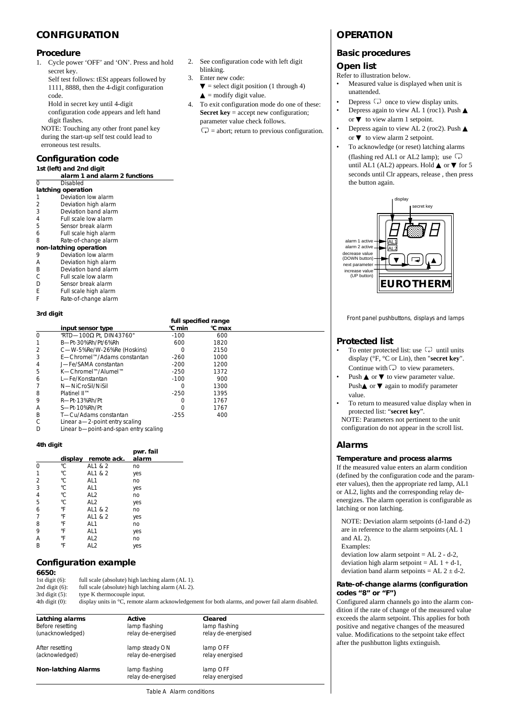# **CONFIGURATION**

### **Procedure**

- 1. Cycle power 'OFF' and 'ON'. Press and hold secret key.
- Self test follows: tESt appears followed by 1111, 8888, then the 4-digit configuration code.

Hold in secret key until 4-digit

configuration code appears and left hand digit flashes.

NOTE: Touching any other front panel key during the start-up self test could lead to erroneous test results.

# **Configuration code**

| 1st (left) and 2nd digit |                               |  |  |  |
|--------------------------|-------------------------------|--|--|--|
|                          | alarm 1 and alarm 2 functions |  |  |  |
| 0                        | Disabled                      |  |  |  |
| latching operation       |                               |  |  |  |
| 1                        | Deviation low alarm           |  |  |  |
| 2                        | Deviation high alarm          |  |  |  |
| 3                        | Deviation band alarm          |  |  |  |
| 4                        | Full scale low alarm          |  |  |  |
| 5                        | Sensor break alarm            |  |  |  |
| 6                        | Full scale high alarm         |  |  |  |
| 8                        | Rate-of-change alarm          |  |  |  |
| non-latching operation   |                               |  |  |  |
| 9                        | Deviation low alarm           |  |  |  |
| А                        | Deviation high alarm          |  |  |  |
| B                        | Deviation band alarm          |  |  |  |
| С                        | Full scale low alarm          |  |  |  |
| D                        | Sensor break alarm            |  |  |  |
| F                        | Full scale high alarm         |  |  |  |
|                          |                               |  |  |  |

F Rate-of-change alarm

#### **3rd digit**

|                          |                                 |        | full specified range |  |
|--------------------------|---------------------------------|--------|----------------------|--|
|                          | input sensor type               | °C min | °C max               |  |
| $\Omega$                 | "RTD-100 $\Omega$ Pt. DIN43760" | $-100$ | 600                  |  |
|                          | B-Pt-30%Rh/Pt/6%Rh              | 600    | 1820                 |  |
| $\mathcal{P}$            | C-W-5%Re/W-26%Re (Hoskins)      | Ω      | 2150                 |  |
| 3                        | F—Chromel™/Adams constantan     | $-260$ | 1000                 |  |
| 4                        | J-Fe/SAMA constantan            | $-200$ | 1200                 |  |
| 5                        | K—Chromel™/Alumel™              | $-250$ | 1372                 |  |
| 6                        | I — Fe/Konstantan               | $-100$ | 900                  |  |
|                          | N-NiCroSil/NiSil                | Ω      | 1300                 |  |
| 8                        | Platinel II™                    | $-250$ | 1395                 |  |
| 9                        | R-Pt-13%Rh/Pt                   | Ω      | 1767                 |  |
| A                        | S-Pt-10%Rh/Pt                   | Ω      | 1767                 |  |
| B                        | T-Cu/Adams constantan           | $-255$ | 400                  |  |
|                          | Linear a-2-point entry scaling  |        |                      |  |
| $\overline{\phantom{a}}$ |                                 |        |                      |  |

D Linear b—point-and-span entry scaling

#### **4th digit**

|                |    |                     | pwr. fail |
|----------------|----|---------------------|-----------|
|                |    | display remote ack. | alarm     |
| 0              | °C | AL1 & 2             | no        |
| $\mathbf{1}$   | ۰C | AL1 & 2             | yes       |
| $\overline{2}$ | ۰C | AL1                 | no        |
| $\overline{3}$ | °C | AL1                 | yes       |
| $\frac{4}{5}$  | °C | AL <sub>2</sub>     | no        |
|                | °C | AL <sub>2</sub>     | yes       |
| 6              | °F | AL1 & 2             | no        |
| $\overline{7}$ | °F | AL1 & 2             | yes       |
| 8              | °F | AL1                 | no        |
| 9              | °F | AL1                 | yes       |
| A              | °F | AL <sub>2</sub>     | no        |
| B              | °F | AL <sub>2</sub>     | yes       |

# **Configuration example**

**6650:**<br>1st digit (6): 1st digit (6): full scale (absolute) high latching alarm (AL 1).<br>2nd digit (6): full scale (absolute) high latching alarm (AL 2). 2nd digit (6): full scale (absolute) high latching alarm (AL 2).<br>3rd digit (5): type K thermocouple input. type K thermocouple input.

**Latching alarms 6 1 Active 1 Active 1 Active Cleared**<br>Before resetting 1 amp flashing 1 amp flashing Before resetting and the lamp flashing lamp flashing lamp flashing<br>
(unacknowledged) Telay de-energised relay de-energised relay de-energised

After resetting and the steady ON lamp OFF (acknowledged) and steady of the relay energised steady of the relay energised steady ON and the relay energised relay de-energised

**Non-latching Alarms** lamp flashing lamp OFF

4th digit (0): display units in °C, remote alarm acknowledgement for both alarms, and power fail alarm disabled.

- 2. See configuration code with left digit blinking.
- 3. Enter new code:
	- $\blacktriangledown$  = select digit position (1 through 4)  $\triangle$  = modify digit value.
- 4. To exit configuration mode do one of these: **Secret key** = accept new configuration; parameter value check follows.

 $\overline{Q}$  = abort; return to previous configuration.

# **OPERATION**

# **Basic procedures**

### **Open list**

Refer to illustration below.

- Measured value is displayed when unit is unattended.
- Depress  $\Box$  once to view display units.
- Depress again to view AL 1 (roc1). Push  $\triangle$ or  $\blacktriangledown$  to view alarm 1 setpoint.
- Depress again to view AL 2 (roc2). Push  $\triangle$ or  $\blacktriangledown$  to view alarm 2 setpoint.
- To acknowledge (or reset) latching alarms (flashing red AL1 or AL2 lamp); use  $\Box$ until AL1 (AL2) appears. Hold  $\blacktriangle$  or  $\nabla$  for 5 seconds until Clr appears, release , then press the button again.



Front panel pushbuttons, displays and lamps

# **Protected list**

- To enter protected list: use  $\overrightarrow{c}$  until units display (°F, °C or Lin), then "**secret key**".
- Continue with  $\Box$  to view parameters. Push  $\blacktriangle$  or  $\nabla$  to view parameter value.
- Push $\blacktriangle$  or  $\nabla$  again to modify parameter value.
- To return to measured value display when in protected list: "**secret key**".
	- NOTE: Parameters not pertinent to the unit configuration do not appear in the scroll list.

# **Alarms**

#### **Temperature and process alarms**

If the measured value enters an alarm condition (defined by the configuration code and the parameter values), then the appropriate red lamp, AL1 or AL2, lights and the corresponding relay deenergizes. The alarm operation is configurable as latching or non latching.

NOTE: Deviation alarm setpoints (d-1and d-2) are in reference to the alarm setpoints (AL 1 and AL 2).

Examples:

deviation low alarm setpoint  $=$  AL  $2 - d-2$ , deviation high alarm setpoint =  $AL 1 + d-1$ , deviation band alarm setpoints =  $AL 2 \pm d-2$ .

#### **Rate-of-change alarms (configuration codes "8" or "F")**

Configured alarm channels go into the alarm condition if the rate of change of the measured value exceeds the alarm setpoint. This applies for both positive and negative changes of the measured value. Modifications to the setpoint take effect after the pushbutton lights extinguish.

relay de-energised relay energised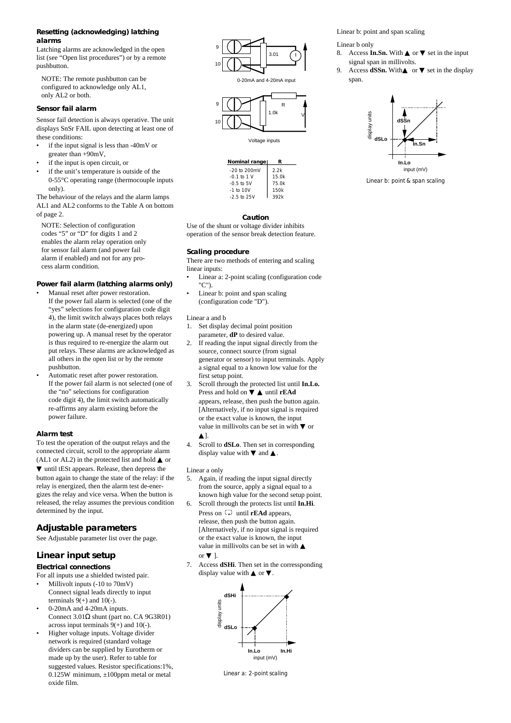#### **Resetting (acknowledging) latching alarms**

Latching alarms are acknowledged in the open list (see "Open list procedures") or by a remote pushbutton.

NOTE: The remote pushbutton can be configured to acknowledge only AL1, only AL2 or both.

#### **Sensor fail alarm**

Sensor fail detection is always operative. The unit displays SnSr FAIL upon detecting at least one of these conditions:

- if the input signal is less than -40mV or greater than +90mV,
- if the input is open circuit, or
- if the unit's temperature is outside of the 0-55°C operating range (thermocouple inputs only).

The behaviour of the relays and the alarm lamps AL1 and AL2 conforms to the Table A on bottom of page 2.

NOTE: Selection of configuration codes "5" or "D" for digits 1 and 2 enables the alarm relay operation only for sensor fail alarm (and power fail alarm if enabled) and not for any process alarm condition.

#### **Power fail alarm (latching alarms only)**

- Manual reset after power restoration. If the power fail alarm is selected (one of the "yes" selections for configuration code digit 4), the limit switch always places both relays in the alarm state (de-energized) upon powering up. A manual reset by the operator is thus required to re-energize the alarm out put relays. These alarms are acknowledged as all others in the open list or by the remote pushbutton.
- Automatic reset after power restoration. If the power fail alarm is not selected (one of the "no" selections for configuration code digit 4), the limit switch automatically re-affirms any alarm existing before the power failure.

#### **Alarm test**

To test the operation of the output relays and the connected circuit, scroll to the appropriate alarm (AL1 or AL2) in the protected list and hold  $\triangle$  or

▼ until tESt appears. Release, then depress the button again to change the state of the relay: if the relay is energized, then the alarm test de-energizes the relay and vice versa. When the button is released, the relay assumes the previous condition determined by the input.

#### **Adjustable parameters**

See Adjustable parameter list over the page.

# **Linear input setup**

#### **Electrical connections**

For all inputs use a shielded twisted pair.

- Millivolt inputs (-10 to 70mV) Connect signal leads directly to input terminals  $9(+)$  and  $10(-)$ .
- 0-20mA and 4-20mA inputs. Connect 3.01Ω shunt (part no. CA 9G3R01) across input terminals  $9(+)$  and  $10(-)$ .
- Higher voltage inputs. Voltage divider network is required (standard voltage dividers can be supplied by Eurotherm or made up by the user). Refer to table for suggested values. Resistor specifications:1%, 0.125W minimum,  $\pm 100$ ppm metal or metal oxide film.



0-20mA and 4-20mA input



Voltage inputs



Linear b: point and span scaling

#### Linear b only

8. Access **In.Sn.** With  $\triangle$  or  $\nabla$  set in the input signal span in millivolts.

9. Access **dSSn.** With**∆** or ▼ set in the display span.



Linear b: point & span scaling

**Caution** Use of the shunt or voltage divider inhibits operation of the sensor break detection feature.

#### **Scaling procedure**

There are two methods of entering and scaling linear inputs:

- Linear a: 2-point scaling (configuration code "C").
- Linear b: point and span scaling (configuration code "D").

#### Linear a and b

1. Set display decimal point position parameter, **dP** to desired value.

- 2. If reading the input signal directly from the source, connect source (from signal generator or sensor) to input terminals. Apply a signal equal to a known low value for the first setup point.
- 3. Scroll through the protected list until **In.Lo.** Press and hold on ▼ ▲ until **rEAd** appears, release, then push the button again. [Alternatively, if no input signal is required or the exact value is known, the input value in millivolts can be set in with  $\nabla$  or ▲].
- 4. Scroll to **dSLo**. Then set in corresponding display value with  $\nabla$  and  $\triangle$ .

#### Linear a only

- 5. Again, if reading the input signal directly from the source, apply a signal equal to a known high value for the second setup point.
- 6. Scroll through the protects list until **In.Hi**. Press on  $\overline{\mathcal{L}}$  until **rEAd** appears, release, then push the button again. [Alternatively, if no input signal is required or the exact value is known, the input value in millivolts can be set in with ▲ or  $\Pi$ .
- 7. Access **dSHi**. Then set in the corressponding display value with  $\triangle$  or  $\nabla$ .



Linear a: 2-point scaling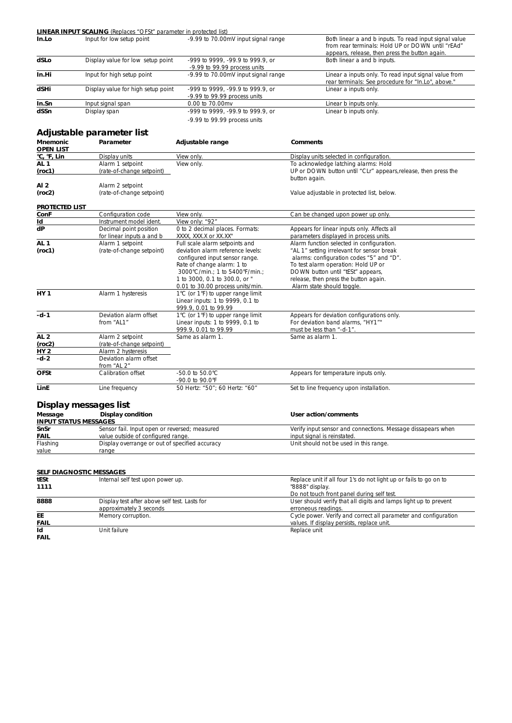|                              | <b>LINEAR INPUT SCALING</b> (Replaces "OFSt" parameter in protected list)                              |                                                                       |                                                                                                                                                               |
|------------------------------|--------------------------------------------------------------------------------------------------------|-----------------------------------------------------------------------|---------------------------------------------------------------------------------------------------------------------------------------------------------------|
| In.Lo                        | Input for low setup point                                                                              | -9.99 to 70.00mV input signal range                                   | Both linear a and b inputs. To read input signal value<br>from rear terminals: Hold UP or DOWN until "rEAd"<br>appears, release, then press the button again. |
| dSLo                         | Display value for low setup point                                                                      | -999 to 9999, -99.9 to 999.9, or<br>-9.99 to 99.99 process units      | Both linear a and b inputs.                                                                                                                                   |
| In.Hi                        | Input for high setup point                                                                             | -9.99 to 70.00mV input signal range                                   | Linear a inputs only. To read input signal value from<br>rear terminals: See procedure for "In.Lo", above."                                                   |
| dSHi                         | Display value for high setup point<br>-999 to 9999, -99.9 to 999.9, or<br>-9.99 to 99.99 process units |                                                                       | Linear a inputs only.                                                                                                                                         |
| In.Sn                        | Input signal span                                                                                      | 0.00 to 70.00mv                                                       | Linear b inputs only.                                                                                                                                         |
| dSSn                         | Display span                                                                                           | -999 to 9999, -99.9 to 999.9, or                                      | Linear b inputs only.                                                                                                                                         |
|                              |                                                                                                        | -9.99 to 99.99 process units                                          |                                                                                                                                                               |
|                              | Adjustable parameter list                                                                              |                                                                       |                                                                                                                                                               |
| Mnemonic<br><b>OPEN LIST</b> | Parameter                                                                                              | Adjustable range                                                      | <b>Comments</b>                                                                                                                                               |
| °C, °F, Lin                  | Display units                                                                                          | View only.                                                            | Display units selected in configuration.                                                                                                                      |
| AL 1                         | Alarm 1 setpoint                                                                                       | View only.                                                            | To acknowledge latching alarms: Hold                                                                                                                          |
| (roc1)                       | (rate-of-change setpoint)                                                                              |                                                                       | UP or DOWN button until "CLr" appears, release, then press the<br>button again.                                                                               |
| AI 2<br>(roc2)               | Alarm 2 setpoint<br>(rate-of-change setpoint)                                                          |                                                                       | Value adjustable in protected list, below.                                                                                                                    |
| <b>PROTECTED LIST</b>        |                                                                                                        |                                                                       |                                                                                                                                                               |
| ConF                         | Configuration code                                                                                     | View only.                                                            | Can be changed upon power up only.                                                                                                                            |
| Id                           | Instrument model ident.                                                                                | View only: "92"                                                       |                                                                                                                                                               |
| dP                           | Decimal point position<br>for linear inputs a and b                                                    | 0 to 2 decimal places. Formats:<br>XXXX, XXX.X or XX.XX"              | Appears for linear inputs only. Affects all<br>parameters displayed in process units.                                                                         |
| AL 1                         | Alarm 1 setpoint                                                                                       | Full scale alarm setpoints and                                        | Alarm function selected in configuration.                                                                                                                     |
| (roc1)                       | (rate-of-change setpoint)                                                                              | deviation alarm reference levels:                                     | "AL 1" setting irrelevant for sensor break                                                                                                                    |
|                              |                                                                                                        | configured input sensor range.                                        | alarms: configuration codes "5" and "D".                                                                                                                      |
|                              |                                                                                                        | Rate of change alarm: 1 to                                            | To test alarm operation: Hold UP or                                                                                                                           |
|                              |                                                                                                        | 3000°C/min.; 1 to 5400°F/min.;                                        | DOWN button until "tESt" appears,                                                                                                                             |
|                              |                                                                                                        | 1 to 3000, 0.1 to 300.0, or "                                         | release, then press the button again.                                                                                                                         |
| <b>HY 1</b>                  | Alarm 1 hysteresis                                                                                     | 0.01 to 30.00 process units/min.<br>1°C (or 1°F) to upper range limit | Alarm state should toggle.                                                                                                                                    |
|                              |                                                                                                        | Linear inputs: 1 to 9999, 0.1 to<br>999.9, 0.01 to 99.99              |                                                                                                                                                               |
| $-d-1$                       | Deviation alarm offset                                                                                 | 1°C (or 1°F) to upper range limit                                     | Appears for deviation configurations only.                                                                                                                    |
|                              | from "AL1"                                                                                             | Linear inputs: 1 to 9999, 0.1 to<br>999.9, 0.01 to 99.99              | For deviation band alarms, "HY1""<br>must be less than "-d-1".                                                                                                |
| AL 2                         | Alarm 2 setpoint                                                                                       | Same as alarm 1.                                                      | Same as alarm 1.                                                                                                                                              |
| (roc2)                       | (rate-of-change setpoint)                                                                              |                                                                       |                                                                                                                                                               |
| HY 2                         | Alarm 2 hysteresis                                                                                     |                                                                       |                                                                                                                                                               |
| -d-2                         | Deviation alarm offset<br>from "AL 2"                                                                  |                                                                       |                                                                                                                                                               |
| <b>OFSt</b>                  | Calibration offset                                                                                     | -50.0 to 50.0°C<br>-90.0 to 90.0°F                                    | Appears for temperature inputs only.                                                                                                                          |
| LinE                         | Line frequency                                                                                         | 50 Hertz: "50"; 60 Hertz: "60"                                        | Set to line frequency upon installation.                                                                                                                      |
|                              | Display messages list                                                                                  |                                                                       |                                                                                                                                                               |
| Message                      | Display condition                                                                                      |                                                                       | User action/comments                                                                                                                                          |
| <b>INPUT STATUS MESSAGES</b> |                                                                                                        |                                                                       |                                                                                                                                                               |
| SnSr                         | Sensor fail. Input open or reversed; measured                                                          |                                                                       | Verify input sensor and connections. Message dissapears when                                                                                                  |
| <u>FAIL</u>                  | value outside of configured range.                                                                     |                                                                       | input signal is reinstated.                                                                                                                                   |
| Flashing<br><u>value</u>     | Display overrange or out of specified accuracy<br>range                                                |                                                                       | Unit should not be used in this range.                                                                                                                        |
|                              |                                                                                                        |                                                                       |                                                                                                                                                               |
|                              | SELF DIAGNOSTIC MESSAGES                                                                               |                                                                       |                                                                                                                                                               |
| tESt                         | Internal self test upon power up.                                                                      |                                                                       | Replace unit if all four 1's do not light up or fails to go on to                                                                                             |
| 1111                         |                                                                                                        |                                                                       | "8888" display.<br>Do not touch front panel during self test.                                                                                                 |
| 8888                         | Display test after above self test. Lasts for<br>approximately 3 seconds                               |                                                                       | User should verify that all digits and lamps light up to prevent<br>erroneous readings.                                                                       |
| EЕ<br><b>FAIL</b>            | Memory corruption.                                                                                     |                                                                       | Cycle power. Verify and correct all parameter and configuration<br>values. If display persists, replace unit.                                                 |
| Id                           | Unit failure                                                                                           |                                                                       | Replace unit                                                                                                                                                  |
| FAIL                         |                                                                                                        |                                                                       |                                                                                                                                                               |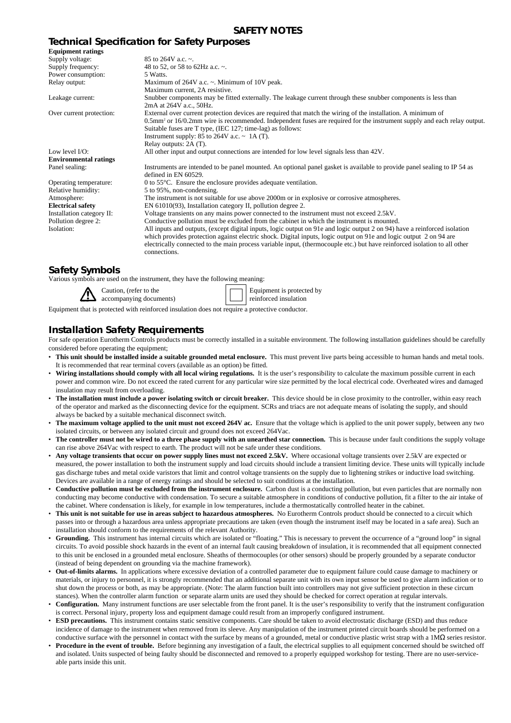# **SAFETY NOTES**

# **Technical Specification for Safety Purposes**

| <b>Equipment ratings</b>     |                                                                                                                                                                                                                                                                                                                                                                                              |
|------------------------------|----------------------------------------------------------------------------------------------------------------------------------------------------------------------------------------------------------------------------------------------------------------------------------------------------------------------------------------------------------------------------------------------|
| Supply voltage:              | 85 to 264V a.c. $\sim$ .                                                                                                                                                                                                                                                                                                                                                                     |
| Supply frequency:            | 48 to 52, or 58 to 62Hz a.c. $\sim$ .                                                                                                                                                                                                                                                                                                                                                        |
| Power consumption:           | 5 Watts.                                                                                                                                                                                                                                                                                                                                                                                     |
| Relay output:                | Maximum of $264V$ a.c. $\sim$ . Minimum of 10V peak.                                                                                                                                                                                                                                                                                                                                         |
|                              | Maximum current, 2A resistive.                                                                                                                                                                                                                                                                                                                                                               |
| Leakage current:             | Shubber components may be fitted externally. The leakage current through these snubber components is less than<br>2mA at 264V a.c., 50Hz.                                                                                                                                                                                                                                                    |
| Over current protection:     | External over current protection devices are required that match the wiring of the installation. A minimum of<br>0.5mm <sup>2</sup> or 16/0.2mm wire is recommended. Independent fuses are required for the instrument supply and each relay output.<br>Suitable fuses are T type, (IEC 127; time-lag) as follows:<br>Instrument supply: 85 to 264V a.c. $\sim$ 1A (T).                      |
|                              | Relay outputs: 2A (T).                                                                                                                                                                                                                                                                                                                                                                       |
| Low level $I/O$ :            | All other input and output connections are intended for low level signals less than 42V.                                                                                                                                                                                                                                                                                                     |
| <b>Environmental ratings</b> |                                                                                                                                                                                                                                                                                                                                                                                              |
| Panel sealing:               | Instruments are intended to be panel mounted. An optional panel gasket is available to provide panel sealing to IP 54 as<br>defined in EN 60529.                                                                                                                                                                                                                                             |
| Operating temperature:       | 0 to $55^{\circ}$ C. Ensure the enclosure provides adequate ventilation.                                                                                                                                                                                                                                                                                                                     |
| Relative humidity:           | 5 to 95%, non-condensing.                                                                                                                                                                                                                                                                                                                                                                    |
| Atmosphere:                  | The instrument is not suitable for use above 2000m or in explosive or corrosive atmospheres.                                                                                                                                                                                                                                                                                                 |
| <b>Electrical safety</b>     | EN 61010(93), Installation category II, pollution degree 2.                                                                                                                                                                                                                                                                                                                                  |
| Installation category II:    | Voltage transients on any mains power connected to the instrument must not exceed 2.5kV.                                                                                                                                                                                                                                                                                                     |
| Pollution degree 2:          | Conductive pollution must be excluded from the cabinet in which the instrument is mounted.                                                                                                                                                                                                                                                                                                   |
| Isolation:                   | All inputs and outputs, (except digital inputs, logic output on 91e and logic output 2 on 94) have a reinforced isolation<br>which provides protection against electric shock. Digital inputs, logic output on 91e and logic output 2 on 94 are<br>electrically connected to the main process variable input, (thermocouple etc.) but have reinforced isolation to all other<br>connections. |
|                              |                                                                                                                                                                                                                                                                                                                                                                                              |

# **Safety Symbols**

Various symbols are used on the instrument, they have the following meaning:

Caution, (refer to the accompanying documents) Equipment is protected by reinforced insulation

Equipment that is protected with reinforced insulation does not require a protective conductor.

# **Installation Safety Requirements**

For safe operation Eurotherm Controls products must be correctly installed in a suitable environment. The following installation guidelines should be carefully considered before operating the equipment;

- **This unit should be installed inside a suitable grounded metal enclosure.** This must prevent live parts being accessible to human hands and metal tools. It is recommended that rear terminal covers (available as an option) be fitted.
- Wiring installations should comply with all local wiring regulations. It is the user's responsibility to calculate the maximum possible current in each power and common wire. Do not exceed the rated current for any particular wire size permitted by the local electrical code. Overheated wires and damaged insulation may result from overloading.
- **The installation must include a power isolating switch or circuit breaker.** This device should be in close proximity to the controller, within easy reach of the operator and marked as the disconnecting device for the equipment. SCRs and triacs are not adequate means of isolating the supply, and should always be backed by a suitable mechanical disconnect switch.
- **The maximum voltage applied to the unit must not exceed 264V ac.** Ensure that the voltage which is applied to the unit power supply, between any two isolated circuits, or between any isolated circuit and ground does not exceed 264Vac.
- The controller must not be wired to a three phase supply with an unearthed star connection. This is because under fault conditions the supply voltage can rise above 264Vac with respect to earth. The product will not be safe under these conditions.
- Any voltage transients that occur on power supply lines must not exceed 2.5kV. Where occasional voltage transients over 2.5kV are expected or measured, the power installation to both the instrument supply and load circuits should include a transient limiting device. These units will typically include gas discharge tubes and metal oxide varistors that limit and control voltage transients on the supply due to lightening strikes or inductive load switching. Devices are available in a range of energy ratings and should be selected to suit conditions at the installation.
- **Conductive pollution must be excluded from the instrument enclosure.** Carbon dust is a conducting pollution, but even particles that are normally non conducting may become conductive with condensation. To secure a suitable atmosphere in conditions of conductive pollution, fit a filter to the air intake of the cabinet. Where condensation is likely, for example in low temperatures, include a thermostatically controlled heater in the cabinet.
- **This unit is not suitable for use in areas subject to hazardous atmospheres.** No Eurotherm Controls product should be connected to a circuit which passes into or through a hazardous area unless appropriate precautions are taken (even though the instrument itself may be located in a safe area). Such an installation should conform to the requirements of the relevant Authority.
- **Grounding.** This instrument has internal circuits which are isolated or "floating." This is necessary to prevent the occurrence of a "ground loop" in signal circuits. To avoid possible shock hazards in the event of an internal fault causing breakdown of insulation, it is recommended that all equipment connected to this unit be enclosed in a grounded metal enclosure. Sheaths of thermocouples (or other sensors) should be properly grounded by a separate conductor (instead of being dependent on grounding via the machine framework).
- **Out-of-limits alarms.** In applications where excessive deviation of a controlled parameter due to equipment failure could cause damage to machinery or materials, or injury to personnel, it is strongly recommended that an additional separate unit with its own input sensor be used to give alarm indication or to shut down the process or both, as may be appropriate. (Note: The alarm function built into controllers may not give sufficient protection in these circum stances). When the controller alarm function or separate alarm units are used they should be checked for correct operation at regular intervals.
- **Configuration.** Many instrument functions are user selectable from the front panel. It is the user's responsibility to verify that the instrument configuration is correct. Personal injury, property loss and equipment damage could result from an improperly configured instrument.
- **ESD precautions.** This instrument contains static sensitive components. Care should be taken to avoid electrostatic discharge (ESD) and thus reduce incidence of damage to the instrument when removed from its sleeve. Any manipulation of the instrument printed circuit boards should be performed on a conductive surface with the personnel in contact with the surface by means of a grounded, metal or conductive plastic wrist strap with a 1MΩ series resistor.
- **Procedure in the event of trouble.** Before beginning any investigation of a fault, the electrical supplies to all equipment concerned should be switched off and isolated. Units suspected of being faulty should be disconnected and removed to a properly equipped workshop for testing. There are no user-serviceable parts inside this unit.